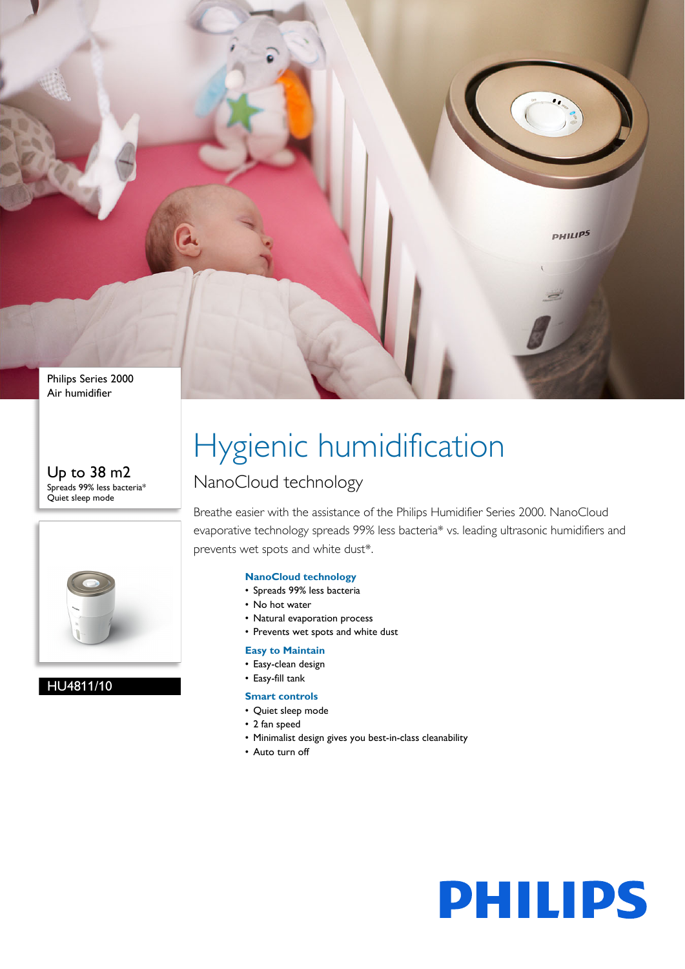Philips Series 2000 Air humidifier

#### Up to 38 m2 Spreads 99% less bacteria\* Quiet sleep mode



#### HU4811/10

# Hygienic humidification

### NanoCloud technology

Breathe easier with the assistance of the Philips Humidifier Series 2000. NanoCloud evaporative technology spreads 99% less bacteria\* vs. leading ultrasonic humidifiers and prevents wet spots and white dust\*.

#### **NanoCloud technology**

- Spreads 99% less bacteria
- No hot water
- Natural evaporation process
- Prevents wet spots and white dust

#### **Easy to Maintain**

- Easy-clean design
- Easy-fill tank

#### **Smart controls**

- Quiet sleep mode
- 2 fan speed
- Minimalist design gives you best-in-class cleanability
- Auto turn off



**PHILIPS**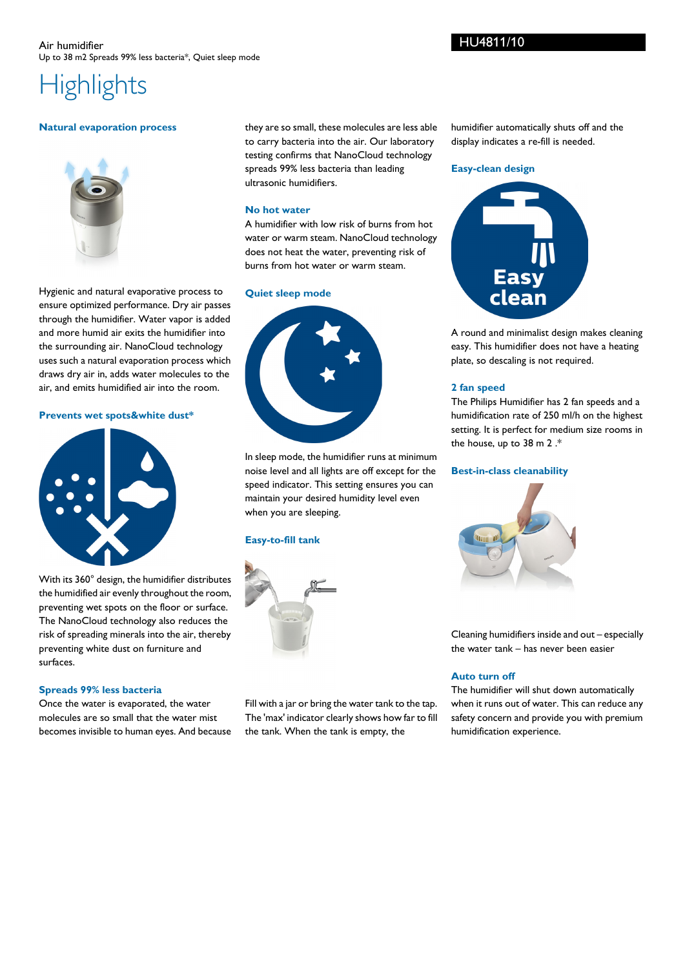## **Highlights**

#### **Natural evaporation process**



Hygienic and natural evaporative process to ensure optimized performance. Dry air passes through the humidifier. Water vapor is added and more humid air exits the humidifier into the surrounding air. NanoCloud technology uses such a natural evaporation process which draws dry air in, adds water molecules to the air, and emits humidified air into the room.

#### **Prevents wet spots&white dust\***



With its 360° design, the humidifier distributes the humidified air evenly throughout the room, preventing wet spots on the floor or surface. The NanoCloud technology also reduces the risk of spreading minerals into the air, thereby preventing white dust on furniture and surfaces.

#### **Spreads 99% less bacteria**

Once the water is evaporated, the water molecules are so small that the water mist becomes invisible to human eyes. And because

they are so small, these molecules are less able to carry bacteria into the air. Our laboratory testing confirms that NanoCloud technology spreads 99% less bacteria than leading ultrasonic humidifiers.

#### **No hot water**

A humidifier with low risk of burns from hot water or warm steam. NanoCloud technology does not heat the water, preventing risk of burns from hot water or warm steam.

#### **Quiet sleep mode**



In sleep mode, the humidifier runs at minimum noise level and all lights are off except for the speed indicator. This setting ensures you can maintain your desired humidity level even when you are sleeping.

#### **Easy-to-fill tank**



Fill with a jar or bring the water tank to the tap. The 'max' indicator clearly shows how far to fill the tank. When the tank is empty, the

humidifier automatically shuts off and the display indicates a re-fill is needed.

#### **Easy-clean design**



A round and minimalist design makes cleaning easy. This humidifier does not have a heating plate, so descaling is not required.

#### **2 fan speed**

The Philips Humidifier has 2 fan speeds and a humidification rate of 250 ml/h on the highest setting. It is perfect for medium size rooms in the house, up to 38 m 2 .\*

#### **Best-in-class cleanability**



Cleaning humidifiers inside and out – especially the water tank – has never been easier

#### **Auto turn off**

The humidifier will shut down automatically when it runs out of water. This can reduce any safety concern and provide you with premium humidification experience.